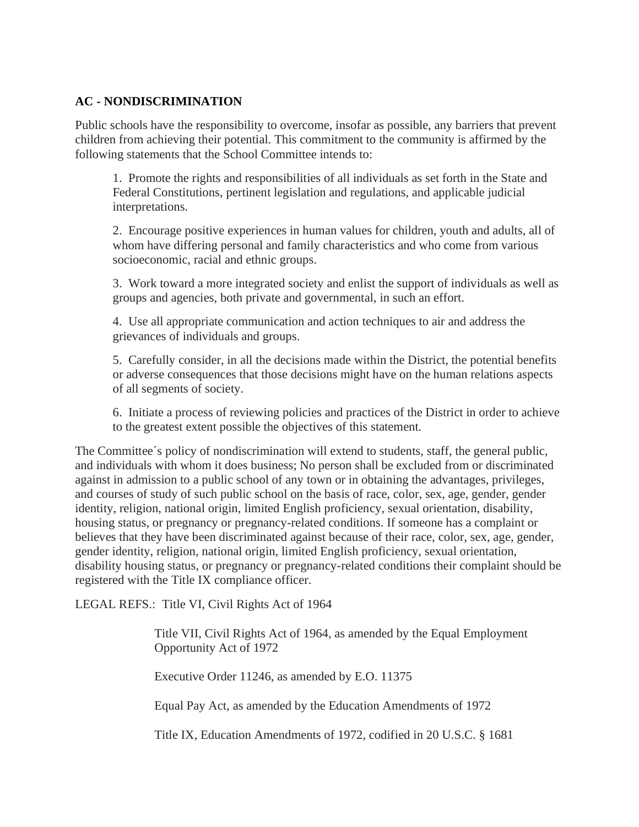## **AC - NONDISCRIMINATION**

Public schools have the responsibility to overcome, insofar as possible, any barriers that prevent children from achieving their potential. This commitment to the community is affirmed by the following statements that the School Committee intends to:

1. Promote the rights and responsibilities of all individuals as set forth in the State and Federal Constitutions, pertinent legislation and regulations, and applicable judicial interpretations.

2. Encourage positive experiences in human values for children, youth and adults, all of whom have differing personal and family characteristics and who come from various socioeconomic, racial and ethnic groups.

3. Work toward a more integrated society and enlist the support of individuals as well as groups and agencies, both private and governmental, in such an effort.

4. Use all appropriate communication and action techniques to air and address the grievances of individuals and groups.

5. Carefully consider, in all the decisions made within the District, the potential benefits or adverse consequences that those decisions might have on the human relations aspects of all segments of society.

6. Initiate a process of reviewing policies and practices of the District in order to achieve to the greatest extent possible the objectives of this statement.

The Committee´s policy of nondiscrimination will extend to students, staff, the general public, and individuals with whom it does business; No person shall be excluded from or discriminated against in admission to a public school of any town or in obtaining the advantages, privileges, and courses of study of such public school on the basis of race, color, sex, age, gender, gender identity, religion, national origin, limited English proficiency, sexual orientation, disability, housing status, or pregnancy or pregnancy-related conditions. If someone has a complaint or believes that they have been discriminated against because of their race, color, sex, age, gender, gender identity, religion, national origin, limited English proficiency, sexual orientation, disability housing status, or pregnancy or pregnancy-related conditions their complaint should be registered with the Title IX compliance officer.

LEGAL REFS.: Title VI, Civil Rights Act of 1964

Title VII, Civil Rights Act of 1964, as amended by the Equal Employment Opportunity Act of 1972

Executive Order 11246, as amended by E.O. 11375

Equal Pay Act, as amended by the Education Amendments of 1972

Title IX, Education Amendments of 1972, codified in 20 U.S.C. § 1681